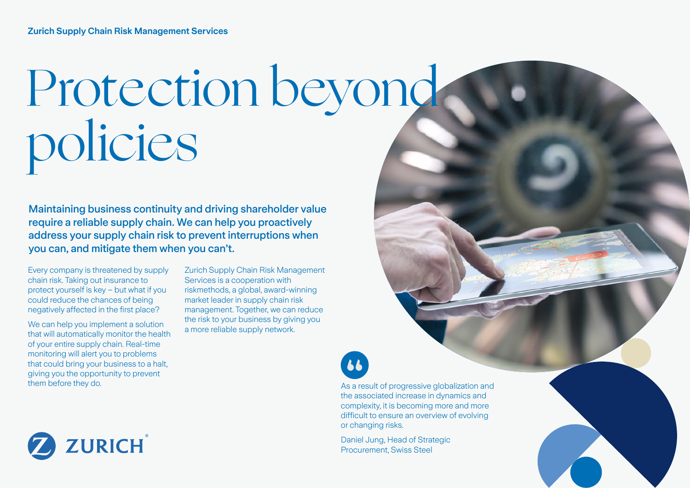# Protection beyond policies

Maintaining business continuity and driving shareholder value require a reliable supply chain. We can help you proactively address your supply chain risk to prevent interruptions when you can, and mitigate them when you can't.

Every company is threatened by supply chain risk. Taking out insurance to protect yourself is key – but what if you could reduce the chances of being negatively affected in the first place?

We can help you implement a solution that will automatically monitor the health of your entire supply chain. Real-time monitoring will alert you to problems that could bring your business to a halt, giving you the opportunity to prevent them before they do.

Zurich Supply Chain Risk Management Services is a cooperation with riskmethods, a global, award-winning market leader in supply chain risk management. Together, we can reduce the risk to your business by giving you a more reliable supply network.

or changing risks.

66

Daniel Jung, Head of Strategic Procurement, Swiss Steel



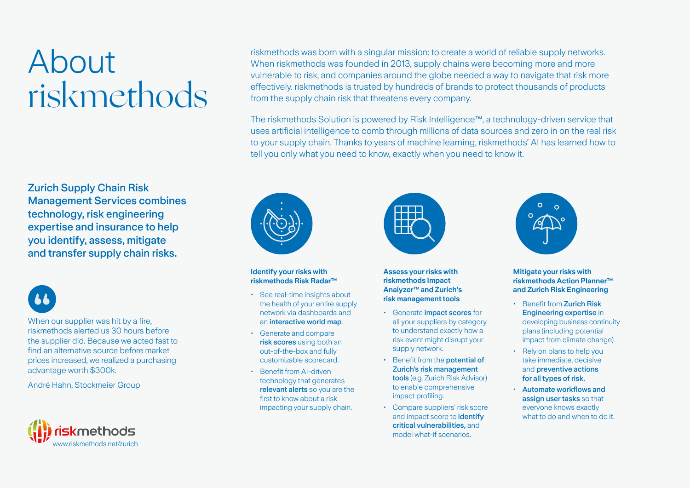## About riskmethods

Zurich Supply Chain Risk Management Services combines technology, risk engineering expertise and insurance to help you identify, assess, mitigate and transfer supply chain risks.

When our supplier was hit by a fire. riskmethods alerted us 30 hours before the supplier did. Because we acted fast to find an alternative source before market prices increased, we realized a purchasing advantage worth \$300k.

André Hahn, Stockmeier Group



riskmethods was born with a singular mission: to create a world of reliable supply networks. When riskmethods was founded in 2013, supply chains were becoming more and more vulnerable to risk, and companies around the globe needed a way to navigate that risk more effectively. riskmethods is trusted by hundreds of brands to protect thousands of products from the supply chain risk that threatens every company.

The riskmethods Solution is powered by Risk Intelligence™, a technology-driven service that uses artificial intelligence to comb through millions of data sources and zero in on the real risk to your supply chain. Thanks to years of machine learning, riskmethods' AI has learned how to tell you only what you need to know, exactly when you need to know it.



#### **Identify your risks with riskmethods Risk Radar™**

- See real-time insights about the health of your entire supply network via dashboards and an interactive world map.
- Generate and compare risk scores using both an out-of-the-box and fully customizable scorecard.
- Benefit from AI-driven technology that generates relevant alerts so you are the first to know about a risk impacting your supply chain.



- Generate impact scores for all your suppliers by category to understand exactly how a risk event might disrupt your supply network.
- Benefit from the **potential of** Zurich's risk management tools (e.g. Zurich Risk Advisor) to enable comprehensive impact profiling.
- Compare suppliers' risk score and impact score to *identify* critical vulnerabilities, and model what-if scenarios.



### **Mitigate your risks with riskmethods Action Planner™ and Zurich Risk Engineering**

- Benefit from Zurich Risk Engineering expertise in developing business continuity plans (including potential impact from climate change).
- Rely on plans to help you take immediate, decisive and preventive actions for all types of risk.
- Automate workflows and assign user tasks so that everyone knows exactly what to do and when to do it.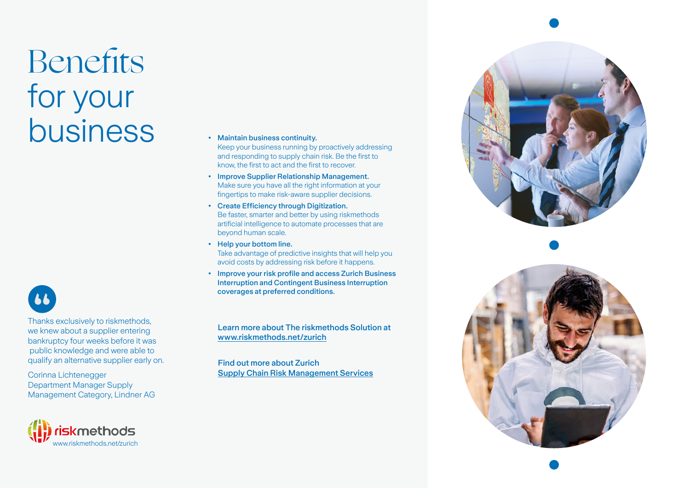## Benefits for your **business** • Maintain business continuity.



Thanks exclusively to riskmethods, we knew about a supplier entering bankruptcy four weeks before it was public knowledge and were able to qualify an alternative supplier early on.

Corinna Lichtenegger Department Manager Supply Management Category, Lindner AG



- Keep your business running by proactively addressing and responding to supply chain risk. Be the first to know, the first to act and the first to recover.
- Improve Supplier Relationship Management. Make sure you have all the right information at your fingertips to make risk-aware supplier decisions.
- Create Efficiency through Digitization. Be faster, smarter and better by using riskmethods artificial intelligence to automate processes that are beyond human scale.
- Help your bottom line. Take advantage of predictive insights that will help you avoid costs by addressing risk before it happens.
- Improve your risk profile and access Zurich Business Interruption and Contingent Business Interruption coverages at preferred conditions.

Learn more about The riskmethods Solution at [www.riskmethods.net/zurich](http://www.riskmethods.net/zurich)

Find out more about Zurich [Supply Chain Risk Management Services](https://www.zurich.com/en/products-and-services/protect-your-business/what-we-protect/property/supply-chain)